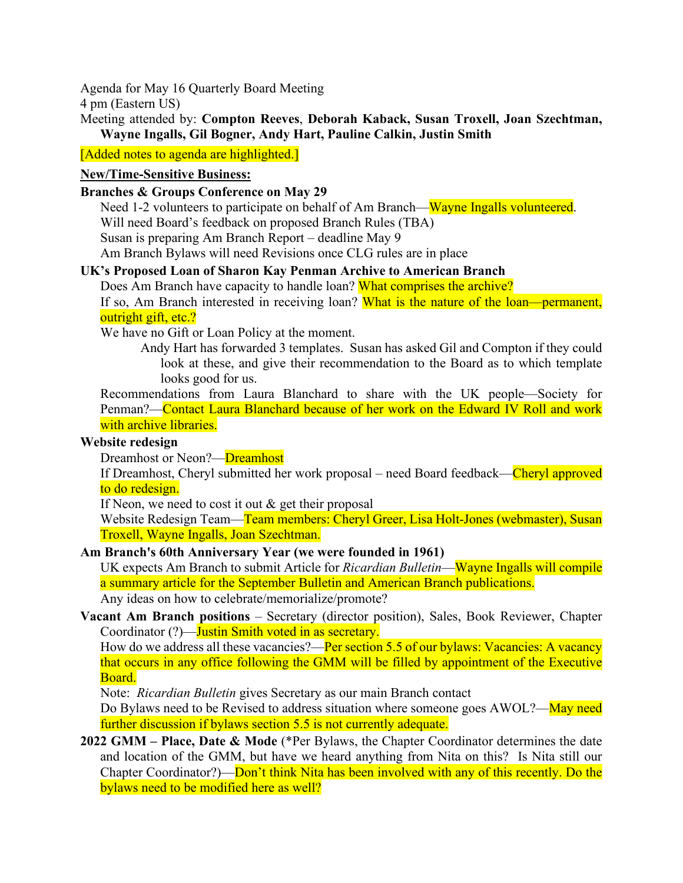Agenda for May 16 Quarterly Board Meeting

4 pm (Eastern US)

Meeting attended by: **Compton Reeves**, **Deborah Kaback, Susan Troxell, Joan Szechtman, Wayne Ingalls, Gil Bogner, Andy Hart, Pauline Calkin, Justin Smith**

[Added notes to agenda are highlighted.]

## **New/Time-Sensitive Business:**

## **Branches & Groups Conference on May 29**

Need 1-2 volunteers to participate on behalf of Am Branch—Wayne Ingalls volunteered. Will need Board's feedback on proposed Branch Rules (TBA) Susan is preparing Am Branch Report – deadline May 9

Am Branch Bylaws will need Revisions once CLG rules are in place

# **UK's Proposed Loan of Sharon Kay Penman Archive to American Branch**

Does Am Branch have capacity to handle loan? What comprises the archive?

If so, Am Branch interested in receiving loan? What is the nature of the loan—permanent, outright gift, etc.?

We have no Gift or Loan Policy at the moment.

Andy Hart has forwarded 3 templates. Susan has asked Gil and Compton if they could look at these, and give their recommendation to the Board as to which template looks good for us.

Recommendations from Laura Blanchard to share with the UK people—Society for Penman?—Contact Laura Blanchard because of her work on the Edward IV Roll and work with archive libraries.

### **Website redesign**

Dreamhost or Neon?—Dreamhost

If Dreamhost, Cheryl submitted her work proposal – need Board feedback—Cheryl approved to do redesign.

If Neon, we need to cost it out & get their proposal

Website Redesign Team—Team members: Cheryl Greer, Lisa Holt-Jones (webmaster), Susan Troxell, Wayne Ingalls, Joan Szechtman.

# **Am Branch's 60th Anniversary Year (we were founded in 1961)**

UK expects Am Branch to submit Article for *Ricardian Bulletin*—Wayne Ingalls will compile a summary article for the September Bulletin and American Branch publications.

Any ideas on how to celebrate/memorialize/promote?

**Vacant Am Branch positions** – Secretary (director position), Sales, Book Reviewer, Chapter Coordinator (?)—Justin Smith voted in as secretary.

How do we address all these vacancies?—Per section 5.5 of our bylaws: Vacancies: A vacancy that occurs in any office following the GMM will be filled by appointment of the Executive Board.

Note: *Ricardian Bulletin* gives Secretary as our main Branch contact

Do Bylaws need to be Revised to address situation where someone goes AWOL?—May need further discussion if bylaws section 5.5 is not currently adequate.

**2022 GMM – Place, Date & Mode** (\*Per Bylaws, the Chapter Coordinator determines the date and location of the GMM, but have we heard anything from Nita on this? Is Nita still our Chapter Coordinator?)—Don't think Nita has been involved with any of this recently. Do the bylaws need to be modified here as well?